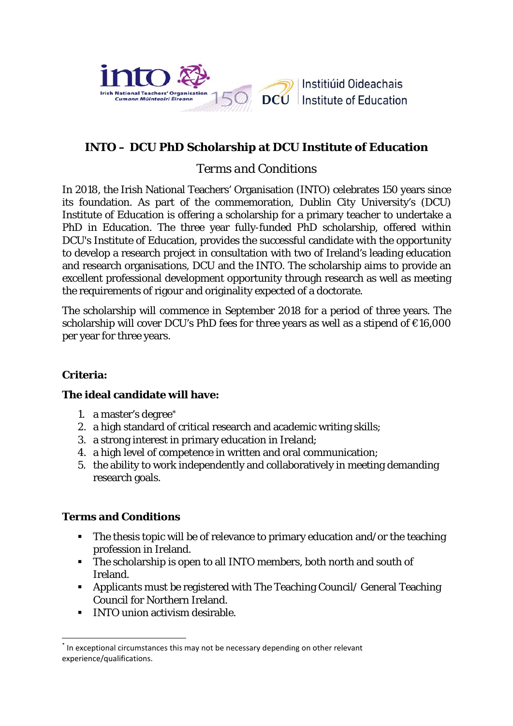

# **INTO – DCU PhD Scholarship at DCU Institute of Education**

## *Terms and Conditions*

In 2018, the Irish National Teachers' Organisation (INTO) celebrates 150 years since its foundation. As part of the commemoration, Dublin City University's (DCU) Institute of Education is offering a scholarship for a primary teacher to undertake a PhD in Education. The three year fully-funded PhD scholarship, offered within DCU's Institute of Education, provides the successful candidate with the opportunity to develop a research project in consultation with two of Ireland's leading education and research organisations, DCU and the INTO. The scholarship aims to provide an excellent professional development opportunity through research as well as meeting the requirements of rigour and originality expected of a doctorate.

The scholarship will commence in September 2018 for a period of three years. The scholarship will cover DCU's PhD fees for three years as well as a stipend of €16,000 per year for three years.

## **Criteria:**

### **The ideal candidate will have:**

- 1. a master's degree[\\*](#page-0-0)
- 2. a high standard of critical research and academic writing skills;
- 3. a strong interest in primary education in Ireland;
- 4. a high level of competence in written and oral communication;
- 5. the ability to work independently and collaboratively in meeting demanding research goals.

### **Terms and Conditions**

- The thesis topic will be of relevance to primary education and/or the teaching profession in Ireland.
- The scholarship is open to all INTO members, both north and south of Ireland.
- Applicants must be registered with The Teaching Council/ General Teaching Council for Northern Ireland.
- INTO union activism desirable.

<span id="page-0-0"></span>In exceptional circumstances this may not be necessary depending on other relevant experience/qualifications.